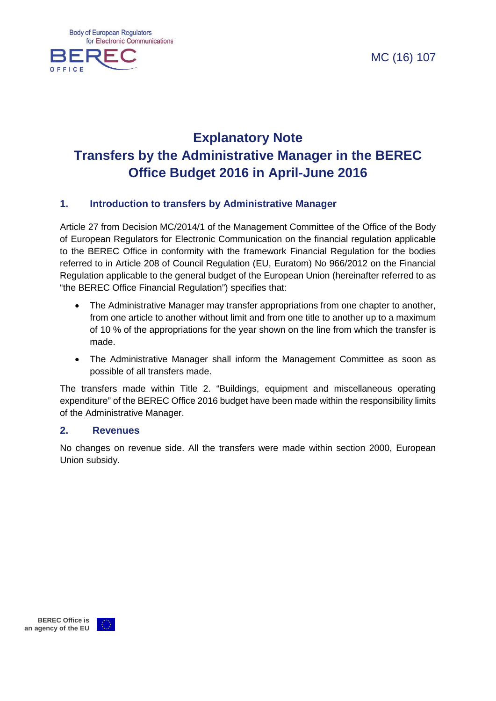MC (16) 107



## **Explanatory Note Transfers by the Administrative Manager in the BEREC Office Budget 2016 in April-June 2016**

#### **1. Introduction to transfers by Administrative Manager**

Article 27 from Decision MC/2014/1 of the Management Committee of the Office of the Body of European Regulators for Electronic Communication on the financial regulation applicable to the BEREC Office in conformity with the framework Financial Regulation for the bodies referred to in Article 208 of Council Regulation (EU, Euratom) No 966/2012 on the Financial Regulation applicable to the general budget of the European Union (hereinafter referred to as "the BEREC Office Financial Regulation") specifies that:

- The Administrative Manager may transfer appropriations from one chapter to another, from one article to another without limit and from one title to another up to a maximum of 10 % of the appropriations for the year shown on the line from which the transfer is made.
- The Administrative Manager shall inform the Management Committee as soon as possible of all transfers made.

The transfers made within Title 2. "Buildings, equipment and miscellaneous operating expenditure" of the BEREC Office 2016 budget have been made within the responsibility limits of the Administrative Manager.

#### **2. Revenues**

No changes on revenue side. All the transfers were made within section 2000, European Union subsidy.

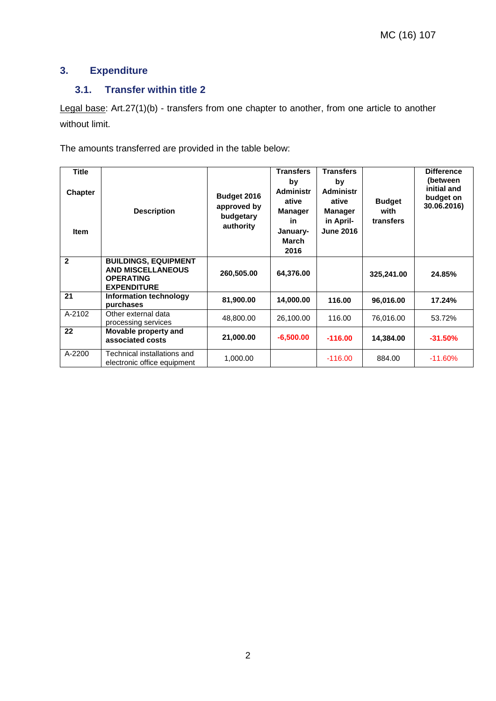### **3. Expenditure**

### **3.1. Transfer within title 2**

Legal base: Art.27(1)(b) - transfers from one chapter to another, from one article to another without limit.

The amounts transferred are provided in the table below:

| <b>Title</b><br><b>Chapter</b><br><b>Item</b> | <b>Description</b>                                                                                | Budget 2016<br>approved by<br>budgetary<br>authority | <b>Transfers</b><br>by<br><b>Administr</b><br>ative<br><b>Manager</b><br>in<br>January-<br>March<br>2016 | <b>Transfers</b><br>by<br><b>Administr</b><br>ative<br><b>Manager</b><br>in April-<br><b>June 2016</b> | <b>Budget</b><br>with<br>transfers | <b>Difference</b><br>(between<br>initial and<br>budget on<br>30.06.2016) |
|-----------------------------------------------|---------------------------------------------------------------------------------------------------|------------------------------------------------------|----------------------------------------------------------------------------------------------------------|--------------------------------------------------------------------------------------------------------|------------------------------------|--------------------------------------------------------------------------|
| $\overline{2}$                                | <b>BUILDINGS, EQUIPMENT</b><br><b>AND MISCELLANEOUS</b><br><b>OPERATING</b><br><b>EXPENDITURE</b> | 260,505.00                                           | 64,376.00                                                                                                |                                                                                                        | 325,241.00                         | 24.85%                                                                   |
| 21                                            | <b>Information technology</b><br>purchases                                                        | 81,900.00                                            | 14,000.00                                                                                                | 116.00                                                                                                 | 96,016.00                          | 17.24%                                                                   |
| A-2102                                        | Other external data<br>processing services                                                        | 48,800.00                                            | 26,100.00                                                                                                | 116.00                                                                                                 | 76,016.00                          | 53.72%                                                                   |
| 22                                            | Movable property and<br>associated costs                                                          | 21,000.00                                            | $-6,500.00$                                                                                              | $-116.00$                                                                                              | 14,384.00                          | $-31.50%$                                                                |
| A-2200                                        | Technical installations and<br>electronic office equipment                                        | 1,000.00                                             |                                                                                                          | $-116.00$                                                                                              | 884.00                             | $-11.60%$                                                                |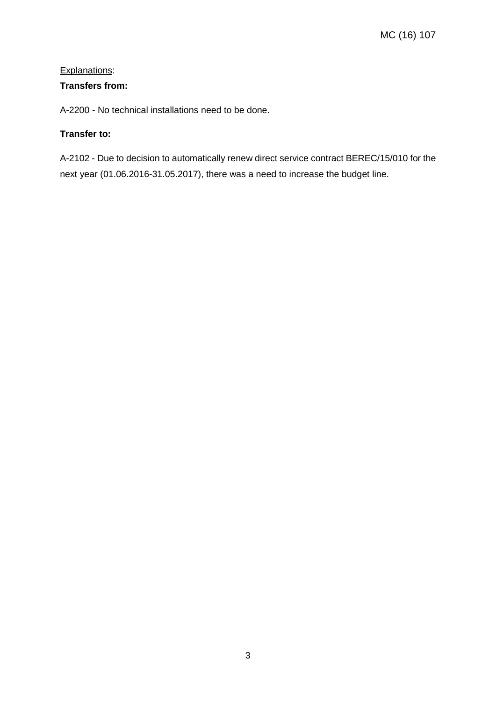#### Explanations:

#### **Transfers from:**

A-2200 - No technical installations need to be done.

#### **Transfer to:**

A-2102 - Due to decision to automatically renew direct service contract BEREC/15/010 for the next year (01.06.2016-31.05.2017), there was a need to increase the budget line.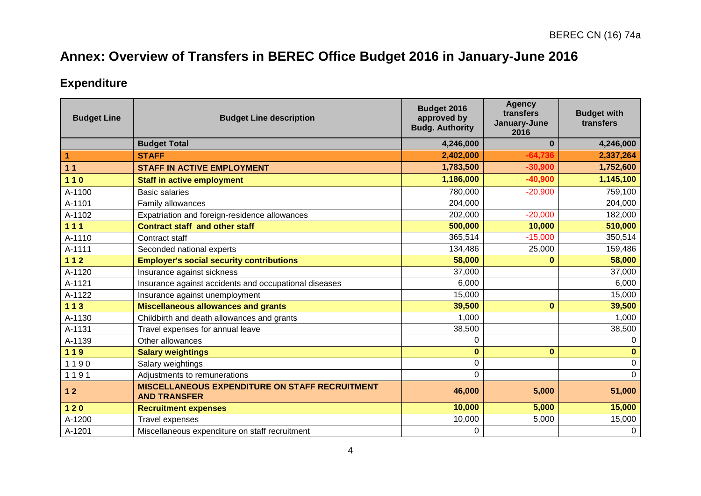# **Annex: Overview of Transfers in BEREC Office Budget 2016 in January-June 2016**

## **Expenditure**

| <b>Budget Line</b> | <b>Budget Line description</b>                                               | Budget 2016<br>approved by<br><b>Budg. Authority</b> | <b>Agency</b><br>transfers<br>January-June<br>2016 | <b>Budget with</b><br>transfers |
|--------------------|------------------------------------------------------------------------------|------------------------------------------------------|----------------------------------------------------|---------------------------------|
|                    | <b>Budget Total</b>                                                          | 4,246,000                                            | $\bf{0}$                                           | 4,246,000                       |
| $\mathbf{1}$       | <b>STAFF</b>                                                                 | 2,402,000                                            | $-64,736$                                          | 2,337,264                       |
| 11                 | <b>STAFF IN ACTIVE EMPLOYMENT</b>                                            | 1,783,500                                            | $-30,900$                                          | 1,752,600                       |
| $110$              | <b>Staff in active employment</b>                                            | 1,186,000                                            | $-40,900$                                          | 1,145,100                       |
| A-1100             | <b>Basic salaries</b>                                                        | 780,000                                              | $-20,900$                                          | 759,100                         |
| A-1101             | Family allowances                                                            | 204,000                                              |                                                    | 204,000                         |
| A-1102             | Expatriation and foreign-residence allowances                                | 202,000                                              | $-20,000$                                          | 182,000                         |
| $111$              | <b>Contract staff and other staff</b>                                        | 500,000                                              | 10,000                                             | 510,000                         |
| A-1110             | Contract staff                                                               | 365,514                                              | $-15,000$                                          | 350,514                         |
| A-1111             | Seconded national experts                                                    | 134,486                                              | 25,000                                             | 159,486                         |
| $112$              | <b>Employer's social security contributions</b>                              | 58,000                                               | $\bf{0}$                                           | 58,000                          |
| A-1120             | Insurance against sickness                                                   | 37,000                                               |                                                    | 37,000                          |
| A-1121             | Insurance against accidents and occupational diseases                        | 6,000                                                |                                                    | 6,000                           |
| A-1122             | Insurance against unemployment                                               | 15,000                                               |                                                    | 15,000                          |
| $113$              | <b>Miscellaneous allowances and grants</b>                                   | 39,500                                               | $\bf{0}$                                           | 39,500                          |
| A-1130             | Childbirth and death allowances and grants                                   | 1,000                                                |                                                    | 1,000                           |
| A-1131             | Travel expenses for annual leave                                             | 38,500                                               |                                                    | 38,500                          |
| A-1139             | Other allowances                                                             | 0                                                    |                                                    | 0                               |
| 119                | <b>Salary weightings</b>                                                     | $\mathbf 0$                                          | $\mathbf{0}$                                       | $\mathbf 0$                     |
| 1190               | Salary weightings                                                            | 0                                                    |                                                    | $\pmb{0}$                       |
| 1191               | Adjustments to remunerations                                                 | 0                                                    |                                                    | $\mathbf 0$                     |
| $12$               | <b>MISCELLANEOUS EXPENDITURE ON STAFF RECRUITMENT</b><br><b>AND TRANSFER</b> | 46,000                                               | 5,000                                              | 51,000                          |
| $120$              | <b>Recruitment expenses</b>                                                  | 10,000                                               | 5,000                                              | 15,000                          |
| A-1200             | Travel expenses                                                              | 10,000                                               | 5,000                                              | 15,000                          |
| A-1201             | Miscellaneous expenditure on staff recruitment                               | 0                                                    |                                                    | $\mathbf 0$                     |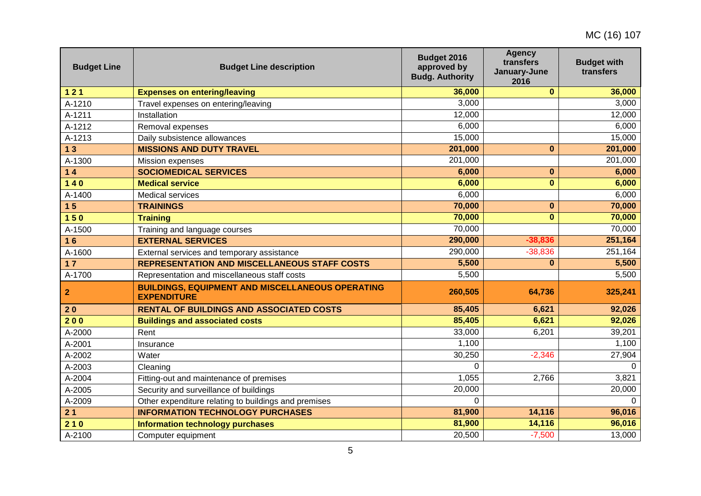| <b>Budget Line</b> | <b>Budget Line description</b>                                                | Budget 2016<br>approved by<br><b>Budg. Authority</b> | <b>Agency</b><br>transfers<br>January-June<br>2016 | <b>Budget with</b><br>transfers |
|--------------------|-------------------------------------------------------------------------------|------------------------------------------------------|----------------------------------------------------|---------------------------------|
| $121$              | <b>Expenses on entering/leaving</b>                                           | 36,000                                               | $\mathbf{0}$                                       | 36,000                          |
| A-1210             | Travel expenses on entering/leaving                                           | 3,000                                                |                                                    | 3,000                           |
| A-1211             | Installation                                                                  | 12,000                                               |                                                    | 12,000                          |
| A-1212             | Removal expenses                                                              | 6,000                                                |                                                    | 6,000                           |
| A-1213             | Daily subsistence allowances                                                  | 15,000                                               |                                                    | 15,000                          |
| 13                 | <b>MISSIONS AND DUTY TRAVEL</b>                                               | 201,000                                              | $\bf{0}$                                           | 201,000                         |
| A-1300             | Mission expenses                                                              | 201,000                                              |                                                    | 201,000                         |
| $14$               | <b>SOCIOMEDICAL SERVICES</b>                                                  | 6,000                                                | 0                                                  | 6,000                           |
| $140$              | <b>Medical service</b>                                                        | 6,000                                                | $\mathbf{0}$                                       | 6,000                           |
| A-1400             | <b>Medical services</b>                                                       | 6,000                                                |                                                    | 6,000                           |
| 15                 | <b>TRAININGS</b>                                                              | 70,000                                               | 0                                                  | 70,000                          |
| 150                | <b>Training</b>                                                               | 70,000                                               | $\mathbf{0}$                                       | 70,000                          |
| A-1500             | Training and language courses                                                 | 70,000                                               |                                                    | 70,000                          |
| 16                 | <b>EXTERNAL SERVICES</b>                                                      | 290,000                                              | $-38,836$                                          | 251,164                         |
| A-1600             | External services and temporary assistance                                    | 290,000                                              | $-38,836$                                          | 251,164                         |
| 17                 | <b>REPRESENTATION AND MISCELLANEOUS STAFF COSTS</b>                           | 5,500                                                | $\bf{0}$                                           | 5,500                           |
| A-1700             | Representation and miscellaneous staff costs                                  | 5,500                                                |                                                    | 5,500                           |
| $\overline{2}$     | <b>BUILDINGS, EQUIPMENT AND MISCELLANEOUS OPERATING</b><br><b>EXPENDITURE</b> | 260,505                                              | 64,736                                             | 325,241                         |
| 20                 | <b>RENTAL OF BUILDINGS AND ASSOCIATED COSTS</b>                               | 85,405                                               | 6,621                                              | 92,026                          |
| 200                | <b>Buildings and associated costs</b>                                         | 85,405                                               | 6,621                                              | 92,026                          |
| A-2000             | Rent                                                                          | 33,000                                               | 6,201                                              | 39,201                          |
| A-2001             | Insurance                                                                     | 1,100                                                |                                                    | 1,100                           |
| A-2002             | Water                                                                         | 30,250                                               | $-2,346$                                           | 27,904                          |
| A-2003             | Cleaning                                                                      | $\Omega$                                             |                                                    | $\Omega$                        |
| A-2004             | Fitting-out and maintenance of premises                                       | 1,055                                                | 2,766                                              | 3,821                           |
| A-2005             | Security and surveillance of buildings                                        | 20,000                                               |                                                    | 20,000                          |
| A-2009             | Other expenditure relating to buildings and premises                          | $\Omega$                                             |                                                    | $\Omega$                        |
| 21                 | <b>INFORMATION TECHNOLOGY PURCHASES</b>                                       | 81,900                                               | 14,116                                             | 96,016                          |
| 210                | <b>Information technology purchases</b>                                       | 81,900                                               | 14,116                                             | 96,016                          |
| A-2100             | Computer equipment                                                            | 20,500                                               | $-7,500$                                           | 13,000                          |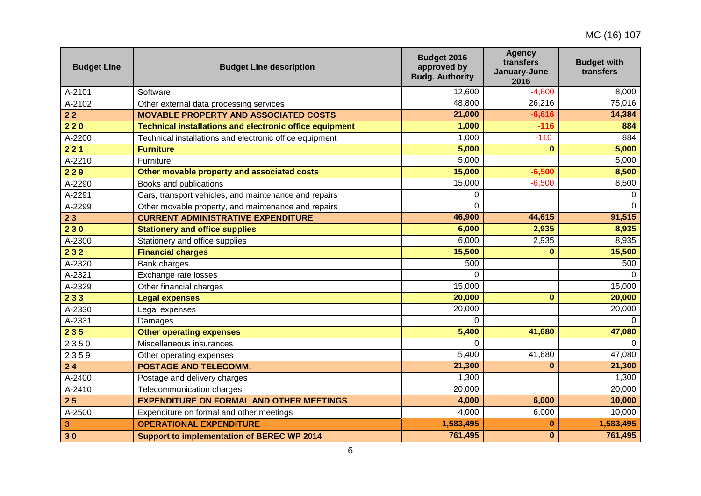| <b>Budget Line</b> | <b>Budget Line description</b>                                 | Budget 2016<br>approved by<br><b>Budg. Authority</b> | <b>Agency</b><br>transfers<br>January-June<br>2016 | <b>Budget with</b><br>transfers |
|--------------------|----------------------------------------------------------------|------------------------------------------------------|----------------------------------------------------|---------------------------------|
| A-2101             | Software                                                       | 12,600                                               | $-4,600$                                           | 8,000                           |
| A-2102             | Other external data processing services                        | 48,800                                               | 26,216                                             | 75,016                          |
| 22                 | <b>MOVABLE PROPERTY AND ASSOCIATED COSTS</b>                   | 21,000                                               | $-6,616$                                           | 14,384                          |
| 220                | <b>Technical installations and electronic office equipment</b> | 1,000                                                | $-116$                                             | 884                             |
| A-2200             | Technical installations and electronic office equipment        | 1,000                                                | $-116$                                             | 884                             |
| 221                | <b>Furniture</b>                                               | 5,000                                                | $\bf{0}$                                           | 5,000                           |
| A-2210             | Furniture                                                      | 5,000                                                |                                                    | 5,000                           |
| 229                | Other movable property and associated costs                    | 15,000                                               | $-6,500$                                           | 8,500                           |
| A-2290             | Books and publications                                         | 15,000                                               | $-6,500$                                           | 8,500                           |
| A-2291             | Cars, transport vehicles, and maintenance and repairs          | 0                                                    |                                                    | 0                               |
| A-2299             | Other movable property, and maintenance and repairs            | $\Omega$                                             |                                                    | $\Omega$                        |
| 23                 | <b>CURRENT ADMINISTRATIVE EXPENDITURE</b>                      | 46,900                                               | 44,615                                             | 91,515                          |
| 230                | <b>Stationery and office supplies</b>                          | 6,000                                                | 2,935                                              | 8,935                           |
| A-2300             | Stationery and office supplies                                 | 6,000                                                | 2,935                                              | 8,935                           |
| 232                | <b>Financial charges</b>                                       | 15,500                                               | $\bf{0}$                                           | 15,500                          |
| A-2320             | <b>Bank charges</b>                                            | 500                                                  |                                                    | 500                             |
| A-2321             | Exchange rate losses                                           | $\Omega$                                             |                                                    |                                 |
| A-2329             | Other financial charges                                        | 15,000                                               |                                                    | 15,000                          |
| 233                | <b>Legal expenses</b>                                          | 20,000                                               | $\mathbf{0}$                                       | 20,000                          |
| A-2330             | Legal expenses                                                 | 20,000                                               |                                                    | 20,000                          |
| A-2331             | Damages                                                        | $\Omega$                                             |                                                    | $\Omega$                        |
| 235                | <b>Other operating expenses</b>                                | 5,400                                                | 41,680                                             | 47,080                          |
| 2350               | Miscellaneous insurances                                       | $\Omega$                                             |                                                    | $\Omega$                        |
| 2359               | Other operating expenses                                       | 5,400                                                | 41,680                                             | 47,080                          |
| 24                 | <b>POSTAGE AND TELECOMM.</b>                                   | 21,300                                               | $\bf{0}$                                           | 21,300                          |
| A-2400             | Postage and delivery charges                                   | 1,300                                                |                                                    | 1,300                           |
| A-2410             | Telecommunication charges                                      | 20,000                                               |                                                    | 20,000                          |
| 25                 | <b>EXPENDITURE ON FORMAL AND OTHER MEETINGS</b>                | 4,000                                                | 6,000                                              | 10,000                          |
| A-2500             | Expenditure on formal and other meetings                       | 4,000                                                | 6,000                                              | 10,000                          |
| 3                  | <b>OPERATIONAL EXPENDITURE</b>                                 | 1,583,495                                            | $\bf{0}$                                           | 1,583,495                       |
| 30                 | <b>Support to implementation of BEREC WP 2014</b>              | 761,495                                              | $\bf{0}$                                           | 761,495                         |